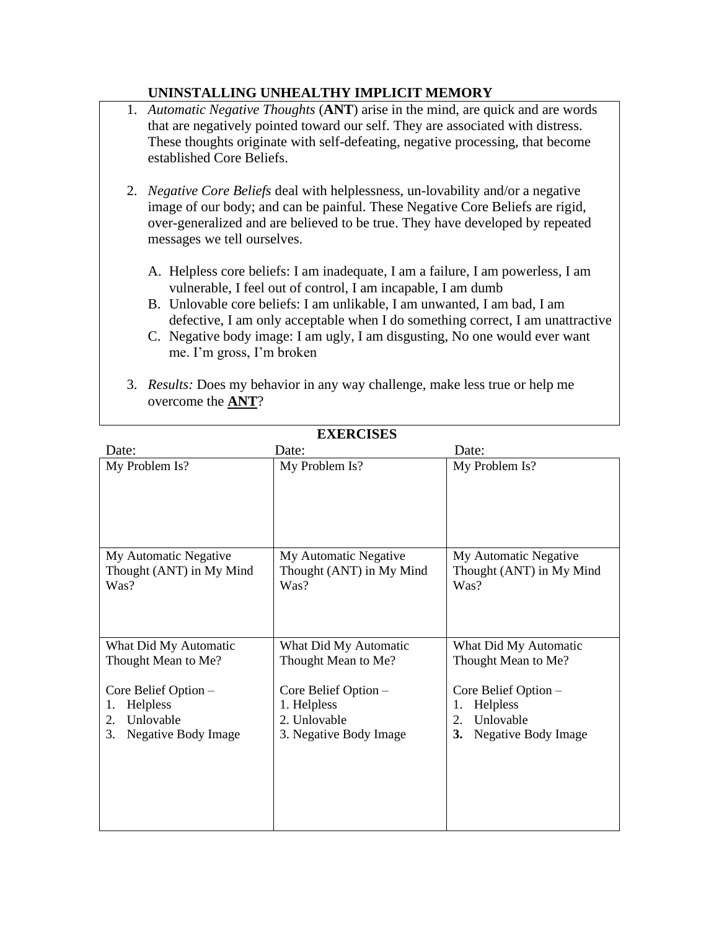## **UNINSTALLING UNHEALTHY IMPLICIT MEMORY**

| 1. Automatic Negative Thoughts (ANT) arise in the mind, are quick and are words<br>that are negatively pointed toward our self. They are associated with distress.<br>These thoughts originate with self-defeating, negative processing, that become<br>established Core Beliefs.                                                                                                                                        |
|--------------------------------------------------------------------------------------------------------------------------------------------------------------------------------------------------------------------------------------------------------------------------------------------------------------------------------------------------------------------------------------------------------------------------|
| 2. Negative Core Beliefs deal with helplessness, un-lovability and/or a negative<br>image of our body; and can be painful. These Negative Core Beliefs are rigid,<br>over-generalized and are believed to be true. They have developed by repeated<br>messages we tell ourselves.                                                                                                                                        |
| A. Helpless core beliefs: I am inadequate, I am a failure, I am powerless, I am<br>vulnerable, I feel out of control, I am incapable, I am dumb<br>B. Unlovable core beliefs: I am unlikable, I am unwanted, I am bad, I am<br>defective, I am only acceptable when I do something correct, I am unattractive<br>C. Negative body image: I am ugly, I am disgusting, No one would ever want<br>me. I'm gross, I'm broken |
| 3. Results: Does my behavior in any way challenge, make less true or help me<br>overcome the ANT?                                                                                                                                                                                                                                                                                                                        |

| EXERCISES                                                 |                                                           |                                                           |  |  |  |  |
|-----------------------------------------------------------|-----------------------------------------------------------|-----------------------------------------------------------|--|--|--|--|
| Date:                                                     | Date:                                                     | Date:                                                     |  |  |  |  |
| My Problem Is?                                            | My Problem Is?                                            | My Problem Is?                                            |  |  |  |  |
| My Automatic Negative<br>Thought (ANT) in My Mind<br>Was? | My Automatic Negative<br>Thought (ANT) in My Mind<br>Was? | My Automatic Negative<br>Thought (ANT) in My Mind<br>Was? |  |  |  |  |
| What Did My Automatic                                     | What Did My Automatic                                     | What Did My Automatic                                     |  |  |  |  |
| Thought Mean to Me?                                       | Thought Mean to Me?                                       | Thought Mean to Me?                                       |  |  |  |  |
| Core Belief Option -                                      | Core Belief Option -                                      | Core Belief Option -                                      |  |  |  |  |
| Helpless<br>1.                                            | 1. Helpless                                               | Helpless<br>1.                                            |  |  |  |  |
| Unlovable<br>2.                                           | 2. Unlovable                                              | Unlovable<br>2.                                           |  |  |  |  |
| <b>Negative Body Image</b><br>3.                          | 3. Negative Body Image                                    | Negative Body Image<br>3.                                 |  |  |  |  |

**EXERCISES**